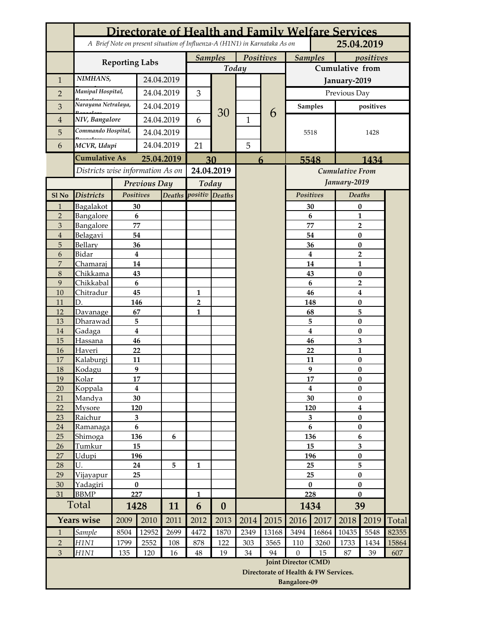|                     | <u> Directorate of Health and Family Welfare Services</u>                                |                         |                        |            |                       |                  |              |            |                                      |                             |                                             |                  |              |  |
|---------------------|------------------------------------------------------------------------------------------|-------------------------|------------------------|------------|-----------------------|------------------|--------------|------------|--------------------------------------|-----------------------------|---------------------------------------------|------------------|--------------|--|
|                     | A Brief Note on present situation of Influenza-A (H1N1) in Karnataka As on<br>25.04.2019 |                         |                        |            |                       |                  |              |            |                                      |                             |                                             |                  |              |  |
|                     | <b>Reporting Labs</b>                                                                    |                         |                        |            | <b>Samples</b>        |                  | Positives    |            |                                      | <b>Samples</b><br>positives |                                             |                  |              |  |
|                     |                                                                                          |                         |                        |            | Today                 |                  |              |            | Cumulative from                      |                             |                                             |                  |              |  |
| $\mathbf{1}$        | NIMHANS,                                                                                 |                         | 24.04.2019             |            |                       |                  |              |            | January-2019                         |                             |                                             |                  |              |  |
| $\overline{2}$      |                                                                                          | Manipal Hospital,       |                        | 24.04.2019 |                       |                  |              | 6          | Previous Day                         |                             |                                             |                  |              |  |
| 3                   | Narayana Netralaya,                                                                      |                         | 24.04.2019             |            |                       |                  |              |            |                                      | <b>Samples</b>              | positives                                   |                  |              |  |
| $\overline{4}$      | NIV, Bangalore                                                                           |                         | 24.04.2019             |            | 6                     | 30               | $\mathbf{1}$ |            | 5518                                 |                             |                                             | 1428             |              |  |
| 5                   |                                                                                          | Commando Hospital,      |                        | 24.04.2019 |                       |                  |              |            |                                      |                             |                                             |                  |              |  |
| 6                   | MCVR, Udupi                                                                              |                         |                        | 24.04.2019 |                       |                  | 5            |            |                                      |                             |                                             |                  |              |  |
|                     | <b>Cumulative As</b>                                                                     |                         | 25.04.2019             |            | 21<br>30              |                  |              |            | 5548<br>1434                         |                             |                                             |                  |              |  |
|                     | Districts wise information As on                                                         |                         |                        |            |                       | 24.04.2019       |              | 6          |                                      | <b>Cumulative From</b>      |                                             |                  |              |  |
|                     |                                                                                          |                         | Previous Day           |            | Today                 |                  |              |            | January-2019                         |                             |                                             |                  |              |  |
| Sl <sub>No</sub>    | <b>Districts</b>                                                                         | Positives               |                        |            | Deaths positiv Deaths |                  |              |            | Positives                            |                             | <b>Deaths</b>                               |                  |              |  |
| 1                   | Bagalakot                                                                                | 30                      |                        |            |                       |                  |              |            | 30                                   |                             |                                             | $\boldsymbol{0}$ |              |  |
| $\overline{2}$      | Bangalore                                                                                | 6                       |                        |            |                       |                  |              |            |                                      | 6                           | $\mathbf{1}$                                |                  |              |  |
| 3                   | Bangalore                                                                                |                         | 77                     |            |                       |                  |              |            | 77                                   |                             |                                             | $\mathbf 2$      |              |  |
| $\overline{4}$<br>5 | Belagavi                                                                                 |                         | 54                     |            |                       |                  |              |            |                                      | 54                          | $\pmb{0}$<br>$\pmb{0}$<br>$\mathbf 2$       |                  |              |  |
| 6                   | Bellary<br>Bidar                                                                         |                         | 36<br>$\boldsymbol{4}$ |            |                       |                  |              |            |                                      | 36<br>$\boldsymbol{4}$      |                                             |                  |              |  |
| 7                   | Chamaraj                                                                                 |                         | 14                     |            |                       |                  |              |            | 14                                   |                             |                                             | $\mathbf{1}$     |              |  |
| $\boldsymbol{8}$    | Chikkama                                                                                 |                         | 43                     |            |                       |                  |              |            |                                      | 43                          |                                             | $\pmb{0}$        |              |  |
| 9                   | Chikkabal                                                                                |                         | $\boldsymbol{6}$       |            |                       |                  |              |            |                                      | 6                           |                                             | $\mathbf 2$      |              |  |
| 10                  | Chitradur                                                                                |                         | 45                     |            | $\mathbf{1}$          |                  |              |            | 46                                   |                             |                                             | $\boldsymbol{4}$ |              |  |
| 11                  | D                                                                                        |                         | 146                    |            | $\overline{2}$        |                  |              |            |                                      | 148                         | $\pmb{0}$<br>5                              |                  |              |  |
| 12<br>13            | Davanage<br>Dharawad                                                                     |                         | 67<br>5                |            | $\mathbf{1}$          |                  |              |            | 68                                   | 5                           | $\pmb{0}$                                   |                  |              |  |
| 14                  | Gadaga                                                                                   | $\overline{\mathbf{4}}$ |                        |            |                       |                  |              |            |                                      | $\overline{\mathbf{4}}$     | $\pmb{0}$                                   |                  |              |  |
| 15                  | Hassana                                                                                  |                         | 46                     |            |                       |                  |              |            | 46                                   |                             | $\overline{\mathbf{3}}$                     |                  |              |  |
| 16                  | Haveri                                                                                   | 22                      |                        |            |                       |                  |              |            | 22                                   |                             | $\mathbf{1}$                                |                  |              |  |
| 17                  | Kalaburgi                                                                                |                         | 11                     |            |                       |                  |              |            | 11                                   |                             | $\pmb{0}$                                   |                  |              |  |
| 18                  | Kodagu                                                                                   |                         | 9                      |            |                       |                  |              |            | $\boldsymbol{9}$                     |                             | $\pmb{0}$                                   |                  |              |  |
| 19<br>20            | Kolar<br>Koppala                                                                         |                         | 17<br>$\boldsymbol{4}$ |            |                       |                  |              |            |                                      | 17<br>$\boldsymbol{4}$      | $\bf{0}$<br>$\pmb{0}$                       |                  |              |  |
| 21                  | Mandya                                                                                   |                         | 30                     |            |                       |                  |              |            |                                      | 30                          | $\pmb{0}$                                   |                  |              |  |
| 22                  | Mysore                                                                                   |                         | 120                    |            |                       |                  |              |            |                                      | 120                         |                                             | $\boldsymbol{4}$ |              |  |
| 23                  | Raichur                                                                                  | $\mathbf{3}$            |                        |            |                       |                  |              |            | 3                                    |                             | $\boldsymbol{0}$                            |                  |              |  |
| 24                  | Ramanaga                                                                                 | $\boldsymbol{6}$        |                        |            |                       |                  |              |            |                                      | $\boldsymbol{6}$            |                                             | $\pmb{0}$        |              |  |
| 25                  | Shimoga                                                                                  | 136                     |                        | 6          |                       |                  |              |            | 136<br>15                            |                             | $\boldsymbol{6}$<br>$\overline{\mathbf{3}}$ |                  |              |  |
| 26<br>27            | Tumkur<br>Udupi                                                                          | 15<br>196               |                        |            |                       |                  |              |            |                                      | 196                         |                                             | $\bf{0}$         |              |  |
| 28                  | U.                                                                                       | 24                      |                        | 5          | $\mathbf{1}$          |                  |              |            | 25                                   |                             | 5                                           |                  |              |  |
| 29                  | Vijayapur                                                                                | 25                      |                        |            |                       |                  |              |            | 25                                   |                             | $\bf{0}$                                    |                  |              |  |
| 30                  | Yadagiri                                                                                 | $\bf{0}$                |                        |            |                       |                  |              |            | $\bf{0}$                             |                             | $\boldsymbol{0}$                            |                  |              |  |
| 31                  | <b>BBMP</b>                                                                              | 227                     |                        |            | $\mathbf{1}$          |                  |              |            | 228                                  |                             | $\bf{0}$                                    |                  |              |  |
| Total               |                                                                                          | 1428                    |                        | 11         | 6                     | $\boldsymbol{0}$ |              |            | 1434                                 |                             | 39                                          |                  |              |  |
|                     | <b>Years wise</b>                                                                        | 2009                    | 2010                   | 2011       | 2012                  | 2013             | 2014         | 2015       | 2016                                 | 2017                        | 2018                                        | 2019             | Total        |  |
| 1                   | Sample                                                                                   | 8504                    | 12952                  | 2699       | 4472                  | 1870             | 2349         | 13168      | 3494                                 | 16864                       | 10435                                       | 5548             | 82355        |  |
| $\overline{2}$<br>3 | H1N1<br>H1N1                                                                             | 1799<br>135             | 2552<br>120            | 108        | 878<br>48             | 122<br>19        | 303<br>34    | 3565<br>94 | 110<br>$\theta$                      | 3260<br>15                  | 1733<br>87                                  | 1434<br>39       | 15864<br>607 |  |
|                     |                                                                                          |                         |                        | 16         |                       |                  |              |            | <b>Joint Director (CMD)</b>          |                             |                                             |                  |              |  |
|                     |                                                                                          |                         |                        |            |                       |                  |              |            | Directorate of Health & FW Services. |                             |                                             |                  |              |  |
|                     |                                                                                          |                         |                        |            |                       |                  |              |            | <b>Bangalore-09</b>                  |                             |                                             |                  |              |  |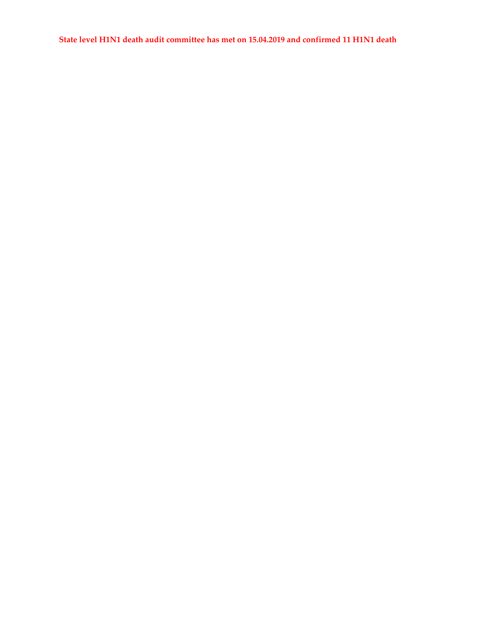**State level H1N1 death audit committee has met on 15.04.2019 and confirmed 11 H1N1 death**